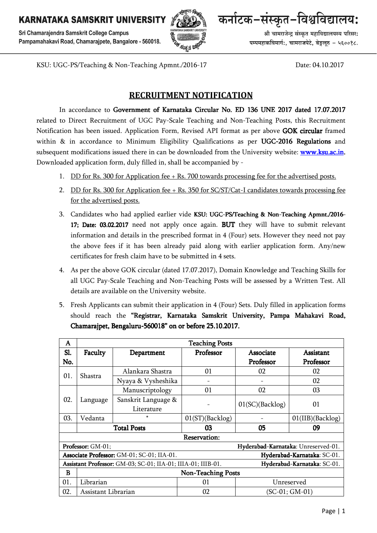Sri Chamarajendra Samskrit College Campus Pampamahakavi Road, Chamarajpete, Bangalore - 560018.



कर्नाटक-संस्कृत-विश्वविद्यालय:

श्री चामराजेन्द संस्कृत महाविद्यालयस्य परिसर: पम्पमहाकविमार्ग:, चामराजपेटे, बेङुलुरु - ५६००१८.

KSU: UGC-PS/Teaching & Non-Teaching Apmnt./2016-17 Date: 04.10.2017

# **RECRUITMENT NOTIFICATION**

In accordance to Government of Karnataka Circular No. ED 136 UNE 2017 dated 17.07.2017 related to Direct Recruitment of UGC Pay-Scale Teaching and Non-Teaching Posts, this Recruitment Notification has been issued. Application Form, Revised API format as per above GOK circular framed within  $\&$  in accordance to Minimum Eligibility Qualifications as per UGC-2016 Regulations and subsequent modifications issued there in can be downloaded from the University website: **www.ksu.ac.in.** Downloaded application form, duly filled in, shall be accompanied by -

- 1. DD for Rs. 300 for Application fee + Rs. 700 towards processing fee for the advertised posts.
- 2. DD for Rs. 300 for Application fee + Rs. 350 for SC/ST/Cat-I candidates towards processing fee for the advertised posts.
- 3. Candidates who had applied earlier vide KSU: UGC-PS/Teaching & Non-Teaching Apmnt./2016-17; Date: 03.02.2017 need not apply once again. BUT they will have to submit relevant information and details in the prescribed format in 4 (Four) sets. However they need not pay the above fees if it has been already paid along with earlier application form. Any/new certificates for fresh claim have to be submitted in 4 sets.
- 4. As per the above GOK circular (dated 17.07.2017), Domain Knowledge and Teaching Skills for all UGC Pay-Scale Teaching and Non-Teaching Posts will be assessed by a Written Test. All details are available on the University website.
- 5. Fresh Applicants can submit their application in 4 (Four) Sets. Duly filled in application forms should reach the "Registrar, Karnataka Samskrit University, Pampa Mahakavi Road, Chamarajpet, Bengaluru-560018" on or before 25.10.2017.

| A                                                                                           | <b>Teaching Posts</b>     |                     |                    |                 |                  |  |  |
|---------------------------------------------------------------------------------------------|---------------------------|---------------------|--------------------|-----------------|------------------|--|--|
| Sl.                                                                                         | Faculty                   | Department          | Professor          | Associate       | Assistant        |  |  |
| No.                                                                                         |                           |                     |                    | Professor       | Professor        |  |  |
| 01.                                                                                         | Shastra                   | Alankara Shastra    | 01                 | 02              | 02               |  |  |
|                                                                                             |                           | Nyaya & Vysheshika  |                    |                 | 02               |  |  |
| 02.                                                                                         | Language                  | Manuscriptology     | 01                 | 02              | 03               |  |  |
|                                                                                             |                           | Sanskrit Language & |                    | 01(SC)(Backlog) | 01               |  |  |
|                                                                                             |                           | Literature          |                    |                 |                  |  |  |
| 03.                                                                                         | Vedanta                   | $\ast$              | $01(ST)$ (Backlog) |                 | 01(IIB)(Backlog) |  |  |
|                                                                                             | <b>Total Posts</b>        |                     | 03                 | 05              | 09               |  |  |
| <b>Reservation:</b>                                                                         |                           |                     |                    |                 |                  |  |  |
| Professor: GM-01;<br>Hyderabad-Karnataka: Unreserved-01.                                    |                           |                     |                    |                 |                  |  |  |
| Associate Professor: GM-01; SC-01; IIA-01.<br>Hyderabad-Karnataka: SC-01.                   |                           |                     |                    |                 |                  |  |  |
| Assistant Professor: GM-03; SC-01; IIA-01; IIIA-01; IIIB-01.<br>Hyderabad-Karnataka: SC-01. |                           |                     |                    |                 |                  |  |  |
| B                                                                                           | <b>Non-Teaching Posts</b> |                     |                    |                 |                  |  |  |
| 01.                                                                                         | Librarian                 |                     | 01                 | Unreserved      |                  |  |  |
| 02.                                                                                         | Assistant Librarian       |                     | 02                 | (SC-01; GM-01)  |                  |  |  |